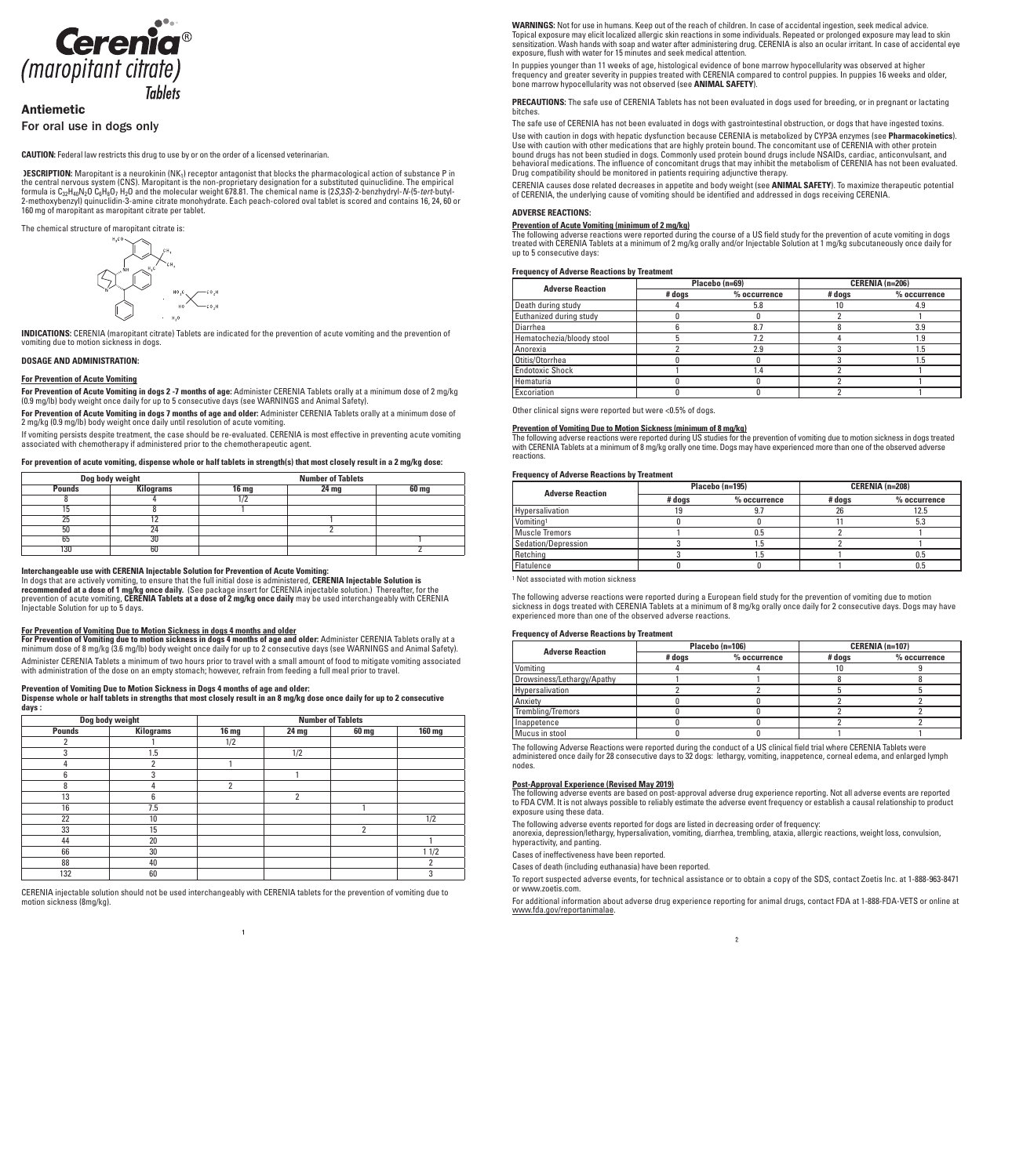

# Antiemetic

# For oral use in dogs only

**CAUTION:** Federal law restricts this drug to use by or on the order of a licensed veterinarian.

**DESCRIPTION:** Maropitant is a neurokinin (NK<sub>1</sub>) receptor antagonist that blocks the pharmacological action of substance P in the central nervous system (CNS). Maropitant is the non-proprietary designation for a substituted quinuclidine. The empirical formula is C32H40N2O C6H8O7 H2O and the molecular weight 678.81. The chemical name is (2*S*,3*S*)-2-benzhydryl-*N*-(5-*tert*-butyl-2-methoxybenzyl) quinuclidin-3-amine citrate monohydrate. Each peach-colored oval tablet is scored and contains 16, 24, 60 or 160 mg of maropitant as maropitant citrate per tablet.

The chemical structure of maropitant citrate is:



**INDICATIONS:** CERENIA (maropitant citrate) Tablets are indicated for the prevention of acute vomiting and the prevention of vomiting due to motion sickness in dogs.

# **DOSAGE AND ADMINISTRATION:**

## **For Prevention of Acute Vomiting**

**For Prevention of Acute Vomiting in dogs 2 -7 months of age:** Administer CERENIA Tablets orally at a minimum dose of 2 mg/kg (0.9 mg/lb) body weight once daily for up to 5 consecutive days (see WARNINGS and Animal Safety).

**For Prevention of Acute Vomiting in dogs 7 months of age and older:** Administer CERENIA Tablets orally at a minimum dose of 2 mg/kg (0.9 mg/lb) body weight once daily until resolution of acute vomiting.

If vomiting persists despite treatment, the case should be re-evaluated. CERENIA is most effective in preventing acute vomiting associated with chemotherapy if administered prior to the chemotherapeutic agent.

# **For prevention of acute vomiting, dispense whole or half tablets in strength(s) that most closely result in a 2 mg/kg dose:**

| Dog body weight |                  | <b>Number of Tablets</b> |       |  |  |
|-----------------|------------------|--------------------------|-------|--|--|
| <b>Pounds</b>   | <b>Kilograms</b> | 16 <sub>mg</sub>         | 60 mg |  |  |
|                 |                  |                          |       |  |  |
|                 |                  |                          |       |  |  |
| 25              |                  |                          |       |  |  |
| 50              | 24               |                          |       |  |  |
| 65              | 30               |                          |       |  |  |
| 130             | 60               |                          |       |  |  |

**Interchangeable use with CERENIA Injectable Solution for Prevention of Acute Vomiting:**

In dogs that are actively vomiting, to ensure that the full initial dose is administered, **CERENIA Injectable Solution is recommended at a dose of 1 mg/kg once daily.** (See package insert for CERENIA injectable solution.) Thereafter, for the prevention of acute vomiting, **CERENIA Tablets at a dose of 2 mg/kg once daily** may be used interchangeably with CERENIA Injectable Solution for up to 5 days.

#### **For Prevention of Vomiting Due to Motion Sickness in dogs 4 months and older**

**For Prevention of Vomiting due to motion sickness in dogs 4 months of age and older:** Administer CERENIA Tablets orally at a minimum dose of 8 mg/kg (3.6 mg/lb) body weight once daily for up to 2 consecutive days (see WARNINGS and Animal Safety). Administer CERENIA Tablets a minimum of two hours prior to travel with a small amount of food to mitigate vomiting associated with administration of the dose on an empty stomach; however, refrain from feeding a full meal prior to travel.

#### **Prevention of Vomiting Due to Motion Sickness in Dogs 4 months of age and older:**

**Dispense whole or half tablets in strengths that most closely result in an 8 mg/kg dose once daily for up to 2 consecutive days :**

| Dog body weight |                  | <b>Number of Tablets</b> |                |                |               |
|-----------------|------------------|--------------------------|----------------|----------------|---------------|
| <b>Pounds</b>   | <b>Kilograms</b> | <b>16 mg</b>             | 24 mg          | 60 mg          | <b>160 mg</b> |
|                 |                  | 1/2                      |                |                |               |
| 3               | 1.5              |                          | 1/2            |                |               |
| 4               | $\overline{2}$   |                          |                |                |               |
| հ               | 3                |                          |                |                |               |
| 8               | 4                | 2                        |                |                |               |
| 13              | 6                |                          | $\overline{2}$ |                |               |
| 16              | 7.5              |                          |                |                |               |
| 22              | 10               |                          |                |                | 1/2           |
| 33              | 15               |                          |                | $\overline{2}$ |               |
| 44              | 20               |                          |                |                |               |
| 66              | 30               |                          |                |                | 11/2          |
| 88              | 40               |                          |                |                |               |
| 132             | 60               |                          |                |                | 3             |

CERENIA injectable solution should not be used interchangeably with CERENIA tablets for the prevention of vomiting due to motion sickness (8mg/kg).

**WARNINGS:** Not for use in humans. Keep out of the reach of children. In case of accidental ingestion, seek medical advice. Topical exposure may elicit localized allergic skin reactions in some individuals. Repeated or prolonged exposure may lead to skin sensitization. Wash hands with soap and water after administering drug. CERENIA is also an ocular irritant. In case of accidental eye exposure, flush with water for 15 minutes and seek medical attention.

In puppies younger than 11 weeks of age, histological evidence of bone marrow hypocellularity was observed at higher frequency and greater severity in puppies treated with CERENIA compared to control puppies. In puppies 16 weeks and older, bone marrow hypocellularity was not observed (see **ANIMAL SAFETY**).

**PRECAUTIONS:** The safe use of CERENIA Tablets has not been evaluated in dogs used for breeding, or in pregnant or lactating bitches.

The safe use of CERENIA has not been evaluated in dogs with gastrointestinal obstruction, or dogs that have ingested toxins.

Use with caution in dogs with hepatic dysfunction because CERENIA is metabolized by CYP3A enzymes (see **Pharmacokinetics**). Use with caution with other medications that are highly protein bound. The concomitant use of CERENIA with other protein bound drugs has not been studied in dogs. Commonly used protein bound drugs include NSAIDs, cardiac, anticonvulsant, and behavioral medications. The influence of concomitant drugs that may inhibit the metabolism of CERENIA has not been evaluated. Drug compatibility should be monitored in patients requiring adjunctive therapy.

CERENIA causes dose related decreases in appetite and body weight (see **ANIMAL SAFETY**). To maximize therapeutic potential of CERENIA, the underlying cause of vomiting should be identified and addressed in dogs receiving CERENIA.

#### **ADVERSE REACTIONS:**

#### **Prevention of Acute Vomiting (minimum of 2 mg/kg)**

The following adverse reactions were reported during the course of a US field study for the prevention of acute vomiting in dogs treated with CERENIA Tablets at a minimum of 2 mg/kg orally and/or Injectable Solution at 1 mg/kg subcutaneously once daily for up to 5 consecutive days:

#### **Frequency of Adverse Reactions by Treatment**

| <b>Adverse Reaction</b>   |        | Placebo (n=69) | CERENIA (n=206) |                |
|---------------------------|--------|----------------|-----------------|----------------|
|                           | # dogs | % occurrence   | # dogs          | $%$ occurrence |
| Death during study        |        | 5.8            |                 | 4.9            |
| Euthanized during study   |        |                |                 |                |
| Diarrhea                  |        | 8.7            |                 | 3.9            |
| Hematochezia/bloody stool |        | 7.2            |                 | l.9            |
| Anorexia                  |        | 2.9            |                 | .5             |
| Otitis/Otorrhea           |        |                |                 | ۱.5            |
| <b>Endotoxic Shock</b>    |        | .4             |                 |                |
| Hematuria                 |        |                |                 |                |
| Excoriation               |        |                |                 |                |

Other clinical signs were reported but were <0.5% of dogs.

## **Prevention of Vomiting Due to Motion Sickness (minimum of 8 mg/kg)**

The following adverse reactions were reported during US studies for the prevention of vomiting due to motion sickness in dogs treated with CERENIA Tablets at a minimum of 8 mg/kg orally one time. Dogs may have experienced more than one of the observed adverse reactions.

#### **Frequency of Adverse Reactions by Treatment**

| <b>Adverse Reaction</b> |        | Placebo (n=195) | CERENIA (n=208) |                |
|-------------------------|--------|-----------------|-----------------|----------------|
|                         | # dogs | $%$ occurrence  | # dogs          | $%$ occurrence |
| Hypersalivation         |        |                 | 26              | 12.5           |
| Vomiting <sup>1</sup>   |        |                 |                 | 5.3            |
| Muscle Tremors          |        | Օ.5             |                 |                |
| Sedation/Depression     |        |                 |                 |                |
| Retching                |        |                 |                 | 0.5            |
| <b>Flatulence</b>       |        |                 |                 |                |

1 Not associated with motion sickness

The following adverse reactions were reported during a European field study for the prevention of vomiting due to motion sickness in dogs treated with CERENIA Tablets at a minimum of 8 mg/kg orally once daily for 2 consecutive days. Dogs may have experienced more than one of the observed adverse reactions.

## **Frequency of Adverse Reactions by Treatment**

| <b>Adverse Reaction</b>    |                          | Placebo (n=106) | CERENIA (n=107) |                |
|----------------------------|--------------------------|-----------------|-----------------|----------------|
|                            | # dogs<br>$%$ occurrence |                 | # dogs          | $%$ occurrence |
| Vomiting                   |                          |                 |                 |                |
| Drowsiness/Lethargy/Apathy |                          |                 |                 |                |
| Hypersalivation            |                          |                 |                 |                |
| Anxiety                    |                          |                 |                 |                |
| Trembling/Tremors          |                          |                 |                 |                |
| Inappetence                |                          |                 |                 |                |
| Mucus in stool             |                          |                 |                 |                |

The following Adverse Reactions were reported during the conduct of a US clinical field trial where CERENIA Tablets were administered once daily for 28 consecutive days to 32 dogs: lethargy, vomiting, inappetence, corneal edema, and enlarged lymph nodes.

#### **Post-Approval Experience (Revised May 2019)**

The following adverse events are based on post-approval adverse drug experience reporting. Not all adverse events are reported to FDA CVM. It is not always possible to reliably estimate the adverse event frequency or establish a causal relationship to product exposure using these data.

The following adverse events reported for dogs are listed in decreasing order of frequency:

anorexia, depression/lethargy, hypersalivation, vomiting, diarrhea, trembling, ataxia, allergic reactions, weight loss, convulsion, hyperactivity, and panting.

Cases of ineffectiveness have been reported.

Cases of death (including euthanasia) have been reported.

To report suspected adverse events, for technical assistance or to obtain a copy of the SDS, contact Zoetis Inc. at 1-888-963-8471 or www.zoetis.com.

For additional information about adverse drug experience reporting for animal drugs, contact FDA at 1-888-FDA-VETS or online at www.fda.gov/reportanimalae.

 $\overline{2}$